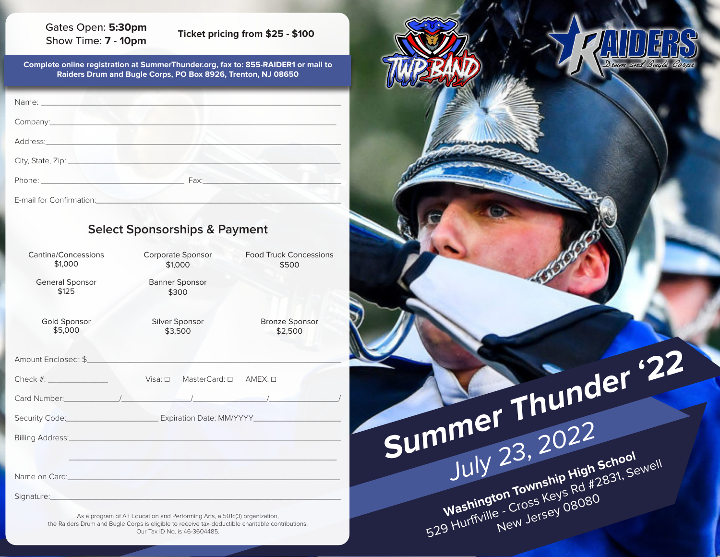#### Gates Open: **5:30pm** Show Time: **7 - 10pm Ticket pricing from \$25 - \$100**

**Complete online registration at SummerThunder.org, fax to: 855-RAIDER1 or mail to Raiders Drum and Bugle Corps, PO Box 8926, Trenton, NJ 08650**

| Company: example and a series of the company of the series of the series of the series of the series of the series of the series of the series of the series of the series of the series of the series of the series of the se |      |
|--------------------------------------------------------------------------------------------------------------------------------------------------------------------------------------------------------------------------------|------|
| Address: Management of the Address and Address and Address and Address and Address and Address and Address and Address and Address and Address and Address and Address and Address and Address and Address and Address and Add |      |
| City, State, Zip: 1988                                                                                                                                                                                                         |      |
|                                                                                                                                                                                                                                | Fax: |
| E-mail for Confirmation:                                                                                                                                                                                                       |      |

## **Select Sponsorships & Payment**

| Cantina/Concessions<br>\$1,000                                                                                  | <b>Corporate Sponsor</b><br>\$1,000                                                                                    | <b>Food Truck Concessions</b><br>\$500 |  |
|-----------------------------------------------------------------------------------------------------------------|------------------------------------------------------------------------------------------------------------------------|----------------------------------------|--|
| <b>General Sponsor</b><br>\$125                                                                                 | <b>Banner Sponsor</b><br>\$300                                                                                         |                                        |  |
| <b>Gold Sponsor</b><br>\$5,000                                                                                  | Silver Sponsor<br>\$3,500                                                                                              | <b>Bronze Sponsor</b><br>\$2,500       |  |
| Amount Enclosed: \$                                                                                             |                                                                                                                        |                                        |  |
| $Visa: \Box$ MasterCard: $\Box$ AMEX: $\Box$                                                                    |                                                                                                                        |                                        |  |
|                                                                                                                 |                                                                                                                        |                                        |  |
|                                                                                                                 | Security Code: Committee Contract Contract Contract Contract Contract Contract Contract Contract Contract Contr        |                                        |  |
|                                                                                                                 |                                                                                                                        |                                        |  |
|                                                                                                                 |                                                                                                                        |                                        |  |
|                                                                                                                 | Name on Card: <u>2008 - 2008 - 2009 - 2014</u> - 2014 - 2014 - 2014 - 2014 - 2014 - 2014 - 2014 - 2014 - 2014 - 2014 - |                                        |  |
| Signature: National Account of the Signature of the Signature of the Signature of the Signature of the Signatur |                                                                                                                        |                                        |  |

As a program of A+ Education and Performing Arts, a 501c(3) organization, the Raiders Drum and Bugle Corps is eligible to receive tax-deductible charitable contributions. Our Tax ID No. is 46-3604485.